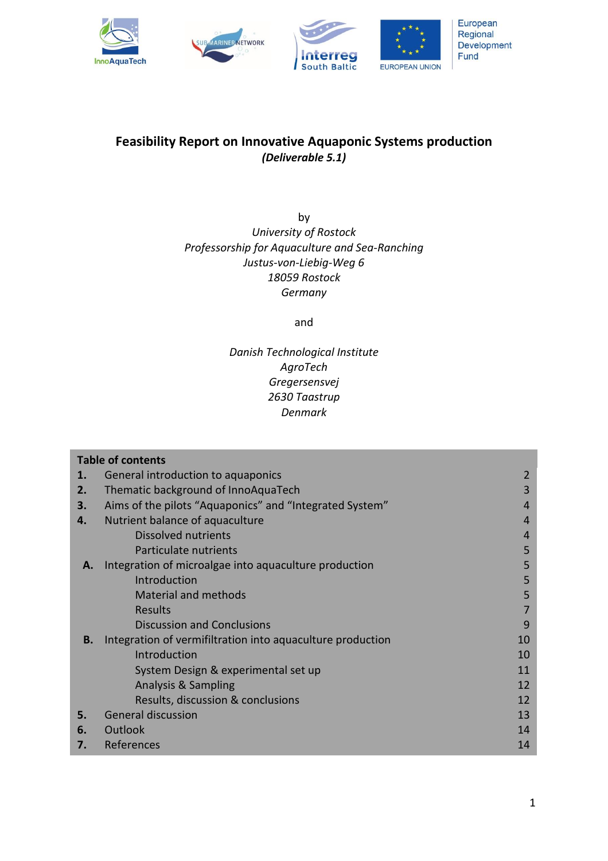

# **Feasibility Report on Innovative Aquaponic Systems production** *(Deliverable 5.1)*

by *University of Rostock Professorship for Aquaculture and Sea-Ranching Justus-von-Liebig-Weg 6 18059 Rostock Germany*

and

# *Danish Technological Institute AgroTech Gregersensvej 2630 Taastrup Denmark*

| <b>Table of contents</b> |                                                            |                |
|--------------------------|------------------------------------------------------------|----------------|
| 1.                       | General introduction to aquaponics                         | 2              |
| 2.                       | Thematic background of InnoAquaTech                        | 3              |
| 3.                       | Aims of the pilots "Aquaponics" and "Integrated System"    | 4              |
| 4.                       | Nutrient balance of aquaculture                            | 4              |
|                          | <b>Dissolved nutrients</b>                                 | $\overline{4}$ |
|                          | Particulate nutrients                                      | 5              |
| А.                       | Integration of microalgae into aquaculture production      | 5              |
|                          | Introduction                                               | 5              |
|                          | <b>Material and methods</b>                                | 5              |
|                          | Results                                                    | 7              |
|                          | <b>Discussion and Conclusions</b>                          | 9              |
| В.                       | Integration of vermifiltration into aquaculture production | 10             |
|                          | Introduction                                               | 10             |
|                          | System Design & experimental set up                        | 11             |
|                          | <b>Analysis &amp; Sampling</b>                             | 12             |
|                          | Results, discussion & conclusions                          | 12             |
| 5.                       | <b>General discussion</b>                                  | 13             |
| 6.                       | Outlook                                                    | 14             |
| 7.                       | References                                                 | 14             |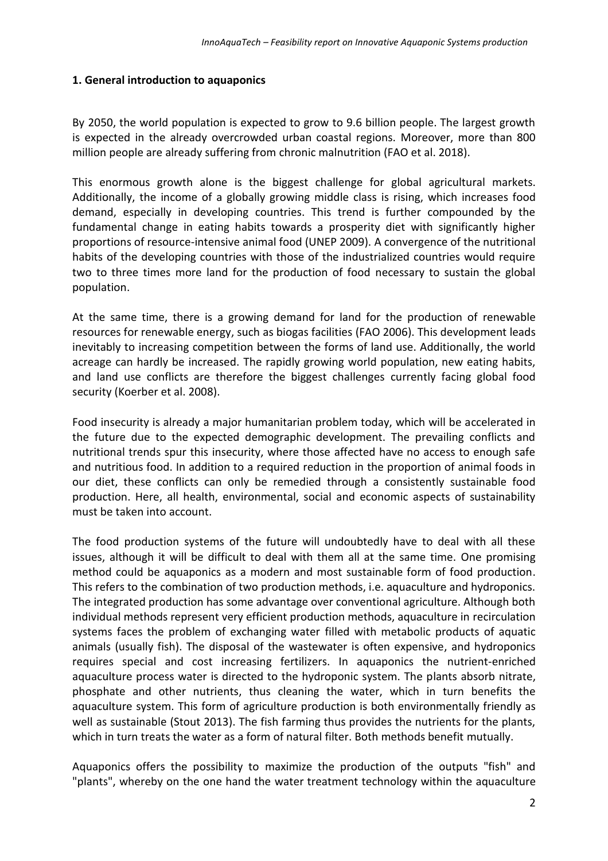# **1. General introduction to aquaponics**

By 2050, the world population is expected to grow to 9.6 billion people. The largest growth is expected in the already overcrowded urban coastal regions. Moreover, more than 800 million people are already suffering from chronic malnutrition (FAO et al. 2018).

This enormous growth alone is the biggest challenge for global agricultural markets. Additionally, the income of a globally growing middle class is rising, which increases food demand, especially in developing countries. This trend is further compounded by the fundamental change in eating habits towards a prosperity diet with significantly higher proportions of resource-intensive animal food (UNEP 2009). A convergence of the nutritional habits of the developing countries with those of the industrialized countries would require two to three times more land for the production of food necessary to sustain the global population.

At the same time, there is a growing demand for land for the production of renewable resources for renewable energy, such as biogas facilities (FAO 2006). This development leads inevitably to increasing competition between the forms of land use. Additionally, the world acreage can hardly be increased. The rapidly growing world population, new eating habits, and land use conflicts are therefore the biggest challenges currently facing global food security (Koerber et al. 2008).

Food insecurity is already a major humanitarian problem today, which will be accelerated in the future due to the expected demographic development. The prevailing conflicts and nutritional trends spur this insecurity, where those affected have no access to enough safe and nutritious food. In addition to a required reduction in the proportion of animal foods in our diet, these conflicts can only be remedied through a consistently sustainable food production. Here, all health, environmental, social and economic aspects of sustainability must be taken into account.

The food production systems of the future will undoubtedly have to deal with all these issues, although it will be difficult to deal with them all at the same time. One promising method could be aquaponics as a modern and most sustainable form of food production. This refers to the combination of two production methods, i.e. aquaculture and hydroponics. The integrated production has some advantage over conventional agriculture. Although both individual methods represent very efficient production methods, aquaculture in recirculation systems faces the problem of exchanging water filled with metabolic products of aquatic animals (usually fish). The disposal of the wastewater is often expensive, and hydroponics requires special and cost increasing fertilizers. In aquaponics the nutrient-enriched aquaculture process water is directed to the hydroponic system. The plants absorb nitrate, phosphate and other nutrients, thus cleaning the water, which in turn benefits the aquaculture system. This form of agriculture production is both environmentally friendly as well as sustainable (Stout 2013). The fish farming thus provides the nutrients for the plants, which in turn treats the water as a form of natural filter. Both methods benefit mutually.

Aquaponics offers the possibility to maximize the production of the outputs "fish" and "plants", whereby on the one hand the water treatment technology within the aquaculture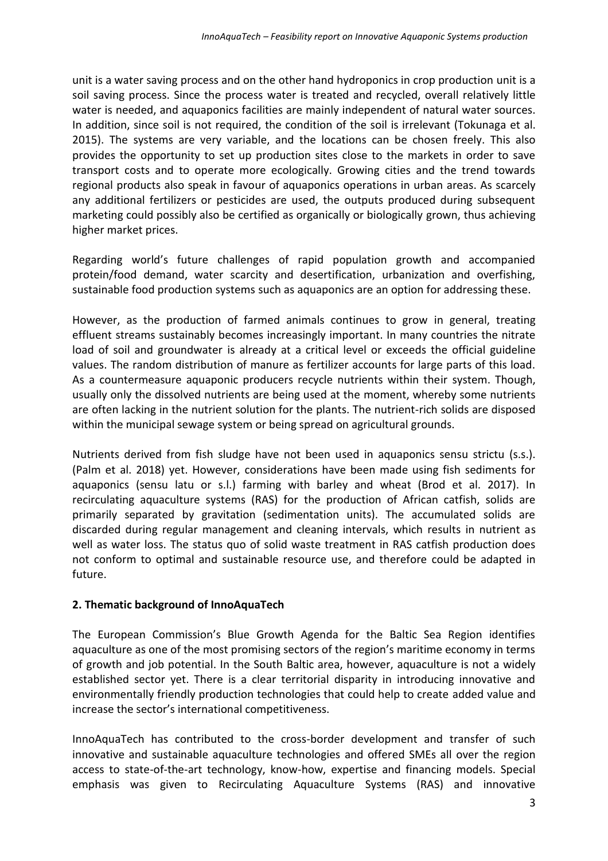unit is a water saving process and on the other hand hydroponics in crop production unit is a soil saving process. Since the process water is treated and recycled, overall relatively little water is needed, and aquaponics facilities are mainly independent of natural water sources. In addition, since soil is not required, the condition of the soil is irrelevant (Tokunaga et al. 2015). The systems are very variable, and the locations can be chosen freely. This also provides the opportunity to set up production sites close to the markets in order to save transport costs and to operate more ecologically. Growing cities and the trend towards regional products also speak in favour of aquaponics operations in urban areas. As scarcely any additional fertilizers or pesticides are used, the outputs produced during subsequent marketing could possibly also be certified as organically or biologically grown, thus achieving higher market prices.

Regarding world's future challenges of rapid population growth and accompanied protein/food demand, water scarcity and desertification, urbanization and overfishing, sustainable food production systems such as aquaponics are an option for addressing these.

However, as the production of farmed animals continues to grow in general, treating effluent streams sustainably becomes increasingly important. In many countries the nitrate load of soil and groundwater is already at a critical level or exceeds the official guideline values. The random distribution of manure as fertilizer accounts for large parts of this load. As a countermeasure aquaponic producers recycle nutrients within their system. Though, usually only the dissolved nutrients are being used at the moment, whereby some nutrients are often lacking in the nutrient solution for the plants. The nutrient-rich solids are disposed within the municipal sewage system or being spread on agricultural grounds.

Nutrients derived from fish sludge have not been used in aquaponics sensu strictu (s.s.). (Palm et al. 2018) yet. However, considerations have been made using fish sediments for aquaponics (sensu latu or s.l.) farming with barley and wheat (Brod et al. 2017). In recirculating aquaculture systems (RAS) for the production of African catfish, solids are primarily separated by gravitation (sedimentation units). The accumulated solids are discarded during regular management and cleaning intervals, which results in nutrient as well as water loss. The status quo of solid waste treatment in RAS catfish production does not conform to optimal and sustainable resource use, and therefore could be adapted in future.

# **2. Thematic background of InnoAquaTech**

The European Commission's Blue Growth Agenda for the Baltic Sea Region identifies aquaculture as one of the most promising sectors of the region's maritime economy in terms of growth and job potential. In the South Baltic area, however, aquaculture is not a widely established sector yet. There is a clear territorial disparity in introducing innovative and environmentally friendly production technologies that could help to create added value and increase the sector's international competitiveness.

InnoAquaTech has contributed to the cross-border development and transfer of such innovative and sustainable aquaculture technologies and offered SMEs all over the region access to state-of-the-art technology, know-how, expertise and financing models. Special emphasis was given to Recirculating Aquaculture Systems (RAS) and innovative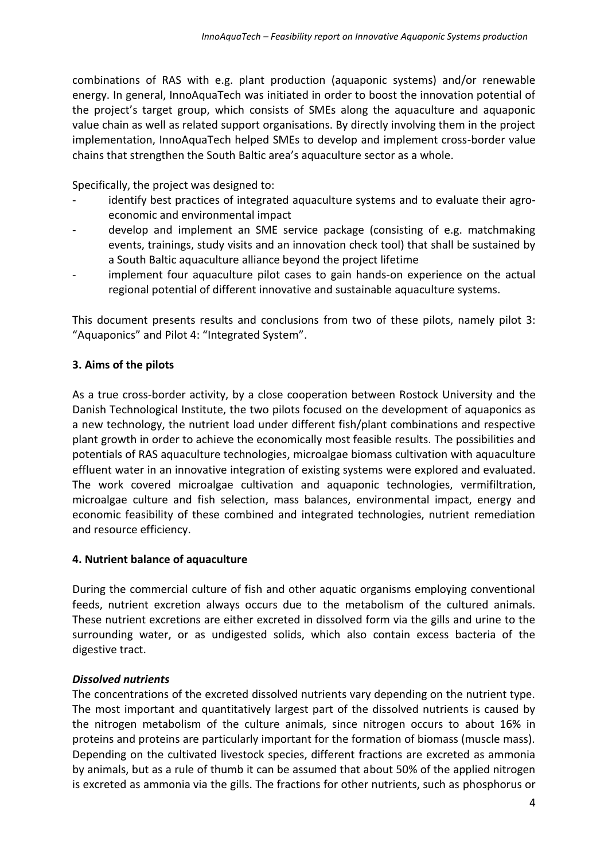combinations of RAS with e.g. plant production (aquaponic systems) and/or renewable energy. In general, InnoAquaTech was initiated in order to boost the innovation potential of the project's target group, which consists of SMEs along the aquaculture and aquaponic value chain as well as related support organisations. By directly involving them in the project implementation, InnoAquaTech helped SMEs to develop and implement cross-border value chains that strengthen the South Baltic area's aquaculture sector as a whole.

Specifically, the project was designed to:

- identify best practices of integrated aquaculture systems and to evaluate their agroeconomic and environmental impact
- develop and implement an SME service package (consisting of e.g. matchmaking events, trainings, study visits and an innovation check tool) that shall be sustained by a South Baltic aquaculture alliance beyond the project lifetime
- implement four aquaculture pilot cases to gain hands-on experience on the actual regional potential of different innovative and sustainable aquaculture systems.

This document presents results and conclusions from two of these pilots, namely pilot 3: "Aquaponics" and Pilot 4: "Integrated System".

# **3. Aims of the pilots**

As a true cross-border activity, by a close cooperation between Rostock University and the Danish Technological Institute, the two pilots focused on the development of aquaponics as a new technology, the nutrient load under different fish/plant combinations and respective plant growth in order to achieve the economically most feasible results. The possibilities and potentials of RAS aquaculture technologies, microalgae biomass cultivation with aquaculture effluent water in an innovative integration of existing systems were explored and evaluated. The work covered microalgae cultivation and aquaponic technologies, vermifiltration, microalgae culture and fish selection, mass balances, environmental impact, energy and economic feasibility of these combined and integrated technologies, nutrient remediation and resource efficiency.

# **4. Nutrient balance of aquaculture**

During the commercial culture of fish and other aquatic organisms employing conventional feeds, nutrient excretion always occurs due to the metabolism of the cultured animals. These nutrient excretions are either excreted in dissolved form via the gills and urine to the surrounding water, or as undigested solids, which also contain excess bacteria of the digestive tract.

# *Dissolved nutrients*

The concentrations of the excreted dissolved nutrients vary depending on the nutrient type. The most important and quantitatively largest part of the dissolved nutrients is caused by the nitrogen metabolism of the culture animals, since nitrogen occurs to about 16% in proteins and proteins are particularly important for the formation of biomass (muscle mass). Depending on the cultivated livestock species, different fractions are excreted as ammonia by animals, but as a rule of thumb it can be assumed that about 50% of the applied nitrogen is excreted as ammonia via the gills. The fractions for other nutrients, such as phosphorus or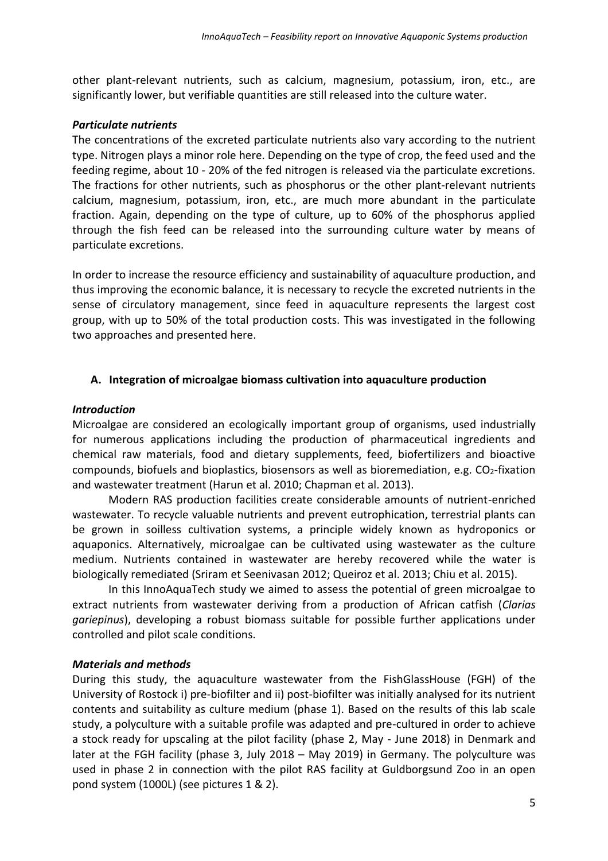other plant-relevant nutrients, such as calcium, magnesium, potassium, iron, etc., are significantly lower, but verifiable quantities are still released into the culture water.

# *Particulate nutrients*

The concentrations of the excreted particulate nutrients also vary according to the nutrient type. Nitrogen plays a minor role here. Depending on the type of crop, the feed used and the feeding regime, about 10 - 20% of the fed nitrogen is released via the particulate excretions. The fractions for other nutrients, such as phosphorus or the other plant-relevant nutrients calcium, magnesium, potassium, iron, etc., are much more abundant in the particulate fraction. Again, depending on the type of culture, up to 60% of the phosphorus applied through the fish feed can be released into the surrounding culture water by means of particulate excretions.

In order to increase the resource efficiency and sustainability of aquaculture production, and thus improving the economic balance, it is necessary to recycle the excreted nutrients in the sense of circulatory management, since feed in aquaculture represents the largest cost group, with up to 50% of the total production costs. This was investigated in the following two approaches and presented here.

# **A. Integration of microalgae biomass cultivation into aquaculture production**

# *Introduction*

Microalgae are considered an ecologically important group of organisms, used industrially for numerous applications including the production of pharmaceutical ingredients and chemical raw materials, food and dietary supplements, feed, biofertilizers and bioactive compounds, biofuels and bioplastics, biosensors as well as bioremediation, e.g.  $CO<sub>2</sub>$ -fixation and wastewater treatment (Harun et al. 2010; Chapman et al. 2013).

Modern RAS production facilities create considerable amounts of nutrient-enriched wastewater. To recycle valuable nutrients and prevent eutrophication, terrestrial plants can be grown in soilless cultivation systems, a principle widely known as hydroponics or aquaponics. Alternatively, microalgae can be cultivated using wastewater as the culture medium. Nutrients contained in wastewater are hereby recovered while the water is biologically remediated (Sriram et Seenivasan 2012; Queiroz et al. 2013; Chiu et al. 2015).

In this InnoAquaTech study we aimed to assess the potential of green microalgae to extract nutrients from wastewater deriving from a production of African catfish (*Clarias gariepinus*), developing a robust biomass suitable for possible further applications under controlled and pilot scale conditions.

# *Materials and methods*

During this study, the aquaculture wastewater from the FishGlassHouse (FGH) of the University of Rostock i) pre-biofilter and ii) post-biofilter was initially analysed for its nutrient contents and suitability as culture medium (phase 1). Based on the results of this lab scale study, a polyculture with a suitable profile was adapted and pre-cultured in order to achieve a stock ready for upscaling at the pilot facility (phase 2, May - June 2018) in Denmark and later at the FGH facility (phase 3, July 2018 – May 2019) in Germany. The polyculture was used in phase 2 in connection with the pilot RAS facility at Guldborgsund Zoo in an open pond system (1000L) (see pictures 1 & 2).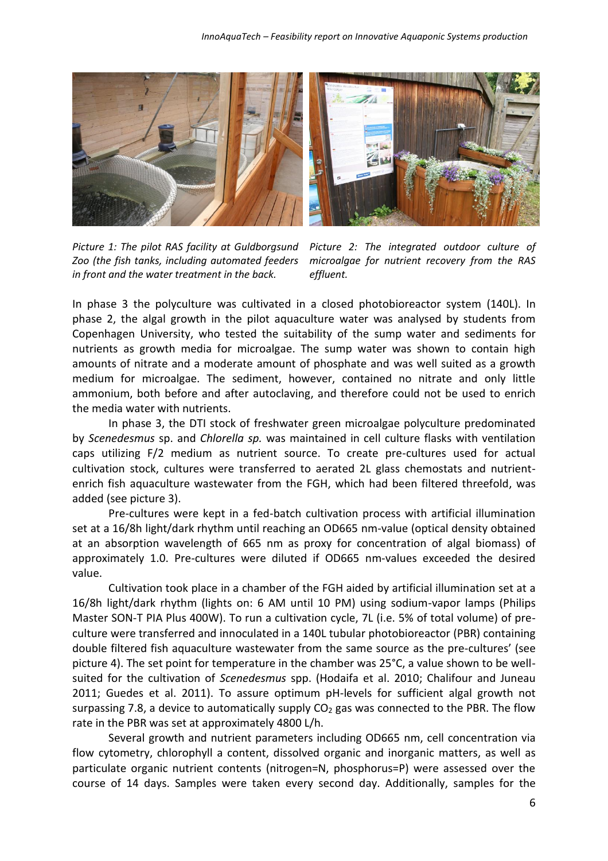

*Picture 1: The pilot RAS facility at Guldborgsund Zoo (the fish tanks, including automated feeders in front and the water treatment in the back.*

*Picture 2: The integrated outdoor culture of microalgae for nutrient recovery from the RAS effluent.*

In phase 3 the polyculture was cultivated in a closed photobioreactor system (140L). In phase 2, the algal growth in the pilot aquaculture water was analysed by students from Copenhagen University, who tested the suitability of the sump water and sediments for nutrients as growth media for microalgae. The sump water was shown to contain high amounts of nitrate and a moderate amount of phosphate and was well suited as a growth medium for microalgae. The sediment, however, contained no nitrate and only little ammonium, both before and after autoclaving, and therefore could not be used to enrich the media water with nutrients.

In phase 3, the DTI stock of freshwater green microalgae polyculture predominated by *Scenedesmus* sp. and *Chlorella sp.* was maintained in cell culture flasks with ventilation caps utilizing F/2 medium as nutrient source. To create pre-cultures used for actual cultivation stock, cultures were transferred to aerated 2L glass chemostats and nutrientenrich fish aquaculture wastewater from the FGH, which had been filtered threefold, was added (see picture 3).

Pre-cultures were kept in a fed-batch cultivation process with artificial illumination set at a 16/8h light/dark rhythm until reaching an OD665 nm-value (optical density obtained at an absorption wavelength of 665 nm as proxy for concentration of algal biomass) of approximately 1.0. Pre-cultures were diluted if OD665 nm-values exceeded the desired value.

Cultivation took place in a chamber of the FGH aided by artificial illumination set at a 16/8h light/dark rhythm (lights on: 6 AM until 10 PM) using sodium-vapor lamps (Philips Master SON-T PIA Plus 400W). To run a cultivation cycle, 7L (i.e. 5% of total volume) of preculture were transferred and innoculated in a 140L tubular photobioreactor (PBR) containing double filtered fish aquaculture wastewater from the same source as the pre-cultures' (see picture 4). The set point for temperature in the chamber was 25°C, a value shown to be wellsuited for the cultivation of *Scenedesmus* spp. (Hodaifa et al. 2010; Chalifour and Juneau 2011; Guedes et al. 2011). To assure optimum pH-levels for sufficient algal growth not surpassing 7.8, a device to automatically supply  $CO<sub>2</sub>$  gas was connected to the PBR. The flow rate in the PBR was set at approximately 4800 L/h.

Several growth and nutrient parameters including OD665 nm, cell concentration via flow cytometry, chlorophyll a content, dissolved organic and inorganic matters, as well as particulate organic nutrient contents (nitrogen=N, phosphorus=P) were assessed over the course of 14 days. Samples were taken every second day. Additionally, samples for the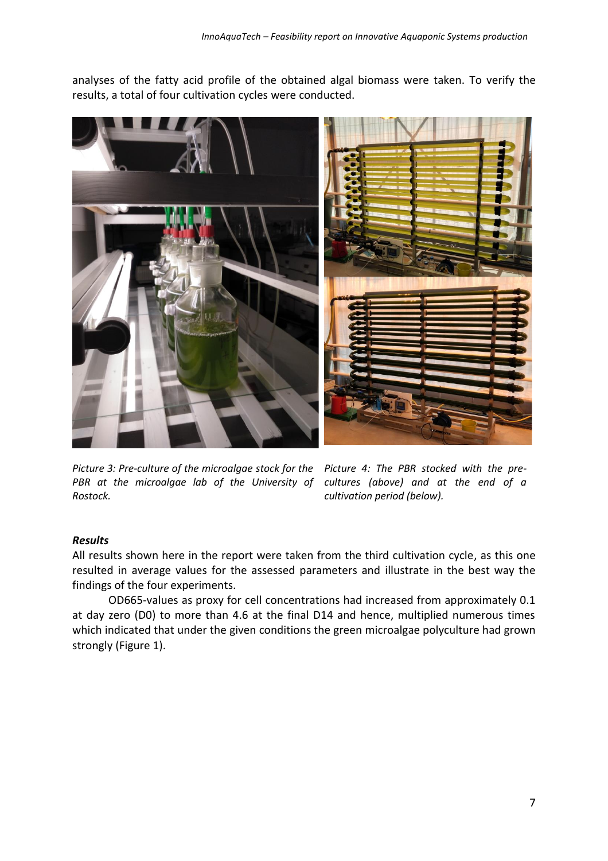analyses of the fatty acid profile of the obtained algal biomass were taken. To verify the results, a total of four cultivation cycles were conducted.



*Picture 3: Pre-culture of the microalgae stock for the Picture 4: The PBR stocked with the pre-PBR at the microalgae lab of the University of cultures (above) and at the end of a Rostock.*

*cultivation period (below).*

# *Results*

All results shown here in the report were taken from the third cultivation cycle, as this one resulted in average values for the assessed parameters and illustrate in the best way the findings of the four experiments.

OD665-values as proxy for cell concentrations had increased from approximately 0.1 at day zero (D0) to more than 4.6 at the final D14 and hence, multiplied numerous times which indicated that under the given conditions the green microalgae polyculture had grown strongly (Figure 1).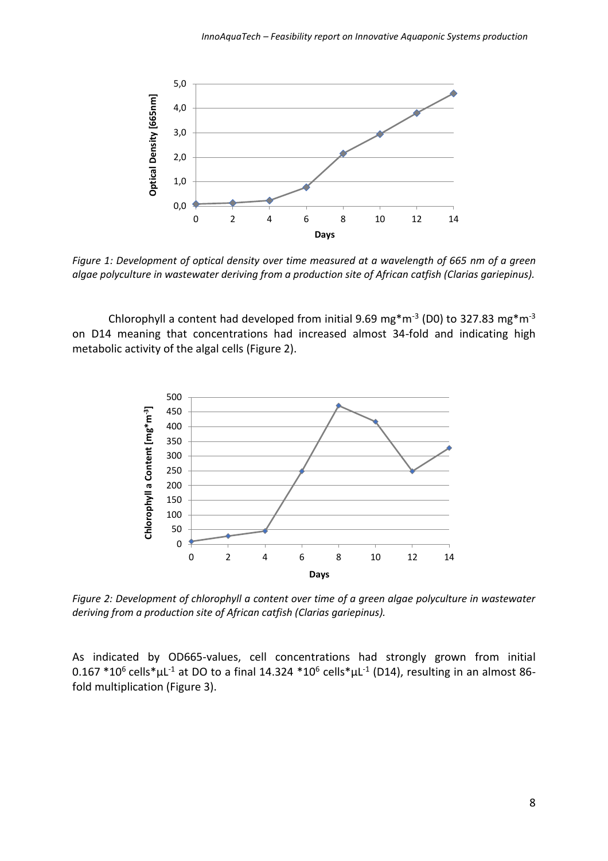

*Figure 1: Development of optical density over time measured at a wavelength of 665 nm of a green algae polyculture in wastewater deriving from a production site of African catfish (Clarias gariepinus).* 

Chlorophyll a content had developed from initial 9.69 mg\*m<sup>-3</sup> (D0) to 327.83 mg\*m<sup>-3</sup> on D14 meaning that concentrations had increased almost 34-fold and indicating high metabolic activity of the algal cells (Figure 2).



*Figure 2: Development of chlorophyll a content over time of a green algae polyculture in wastewater deriving from a production site of African catfish (Clarias gariepinus).* 

As indicated by OD665-values, cell concentrations had strongly grown from initial 0.167  $*10^6$  cells $*$ µL<sup>-1</sup> at DO to a final 14.324  $*10^6$  cells $*$ µL<sup>-1</sup> (D14), resulting in an almost 86fold multiplication (Figure 3).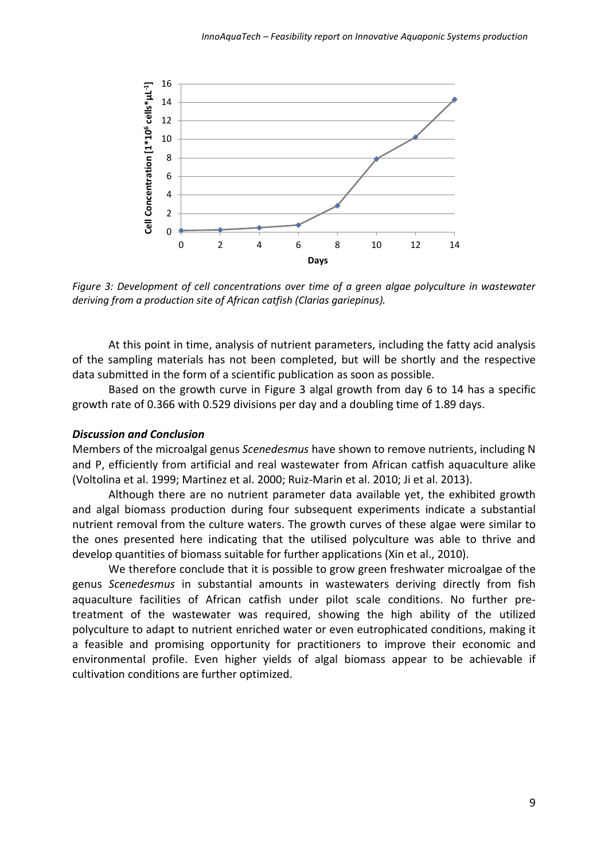

*Figure 3: Development of cell concentrations over time of a green algae polyculture in wastewater deriving from a production site of African catfish (Clarias gariepinus).* 

At this point in time, analysis of nutrient parameters, including the fatty acid analysis of the sampling materials has not been completed, but will be shortly and the respective data submitted in the form of a scientific publication as soon as possible.

Based on the growth curve in Figure 3 algal growth from day 6 to 14 has a specific growth rate of 0.366 with 0.529 divisions per day and a doubling time of 1.89 days.

#### *Discussion and Conclusion*

Members of the microalgal genus *Scenedesmus* have shown to remove nutrients, including N and P, efficiently from artificial and real wastewater from African catfish aquaculture alike (Voltolina et al. 1999; Martinez et al. 2000; Ruiz-Marin et al. 2010; Ji et al. 2013).

Although there are no nutrient parameter data available yet, the exhibited growth and algal biomass production during four subsequent experiments indicate a substantial nutrient removal from the culture waters. The growth curves of these algae were similar to the ones presented here indicating that the utilised polyculture was able to thrive and develop quantities of biomass suitable for further applications (Xin et al., 2010).

We therefore conclude that it is possible to grow green freshwater microalgae of the genus *Scenedesmus* in substantial amounts in wastewaters deriving directly from fish aquaculture facilities of African catfish under pilot scale conditions. No further pretreatment of the wastewater was required, showing the high ability of the utilized polyculture to adapt to nutrient enriched water or even eutrophicated conditions, making it a feasible and promising opportunity for practitioners to improve their economic and environmental profile. Even higher yields of algal biomass appear to be achievable if cultivation conditions are further optimized.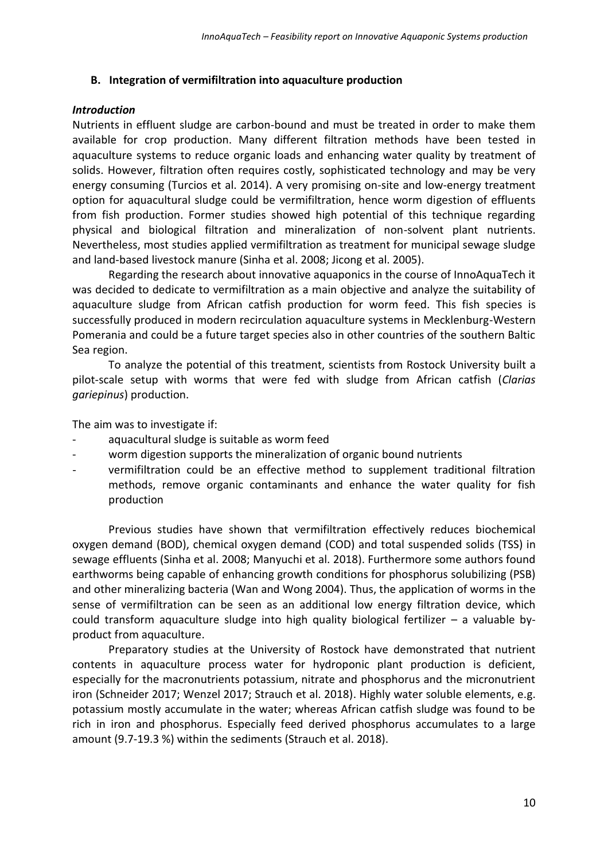# **B. Integration of vermifiltration into aquaculture production**

# *Introduction*

Nutrients in effluent sludge are carbon-bound and must be treated in order to make them available for crop production. Many different filtration methods have been tested in aquaculture systems to reduce organic loads and enhancing water quality by treatment of solids. However, filtration often requires costly, sophisticated technology and may be very energy consuming (Turcios et al. 2014). A very promising on-site and low-energy treatment option for aquacultural sludge could be vermifiltration, hence worm digestion of effluents from fish production. Former studies showed high potential of this technique regarding physical and biological filtration and mineralization of non-solvent plant nutrients. Nevertheless, most studies applied vermifiltration as treatment for municipal sewage sludge and land-based livestock manure (Sinha et al. 2008; Jicong et al. 2005).

Regarding the research about innovative aquaponics in the course of InnoAquaTech it was decided to dedicate to vermifiltration as a main objective and analyze the suitability of aquaculture sludge from African catfish production for worm feed. This fish species is successfully produced in modern recirculation aquaculture systems in Mecklenburg-Western Pomerania and could be a future target species also in other countries of the southern Baltic Sea region.

To analyze the potential of this treatment, scientists from Rostock University built a pilot-scale setup with worms that were fed with sludge from African catfish (*Clarias gariepinus*) production.

The aim was to investigate if:

- aquacultural sludge is suitable as worm feed
- worm digestion supports the mineralization of organic bound nutrients
- vermifiltration could be an effective method to supplement traditional filtration methods, remove organic contaminants and enhance the water quality for fish production

Previous studies have shown that vermifiltration effectively reduces biochemical oxygen demand (BOD), chemical oxygen demand (COD) and total suspended solids (TSS) in sewage effluents (Sinha et al. 2008; Manyuchi et al. 2018). Furthermore some authors found earthworms being capable of enhancing growth conditions for phosphorus solubilizing (PSB) and other mineralizing bacteria (Wan and Wong 2004). Thus, the application of worms in the sense of vermifiltration can be seen as an additional low energy filtration device, which could transform aquaculture sludge into high quality biological fertilizer – a valuable byproduct from aquaculture.

Preparatory studies at the University of Rostock have demonstrated that nutrient contents in aquaculture process water for hydroponic plant production is deficient, especially for the macronutrients potassium, nitrate and phosphorus and the micronutrient iron (Schneider 2017; Wenzel 2017; Strauch et al. 2018). Highly water soluble elements, e.g. potassium mostly accumulate in the water; whereas African catfish sludge was found to be rich in iron and phosphorus. Especially feed derived phosphorus accumulates to a large amount (9.7-19.3 %) within the sediments (Strauch et al. 2018).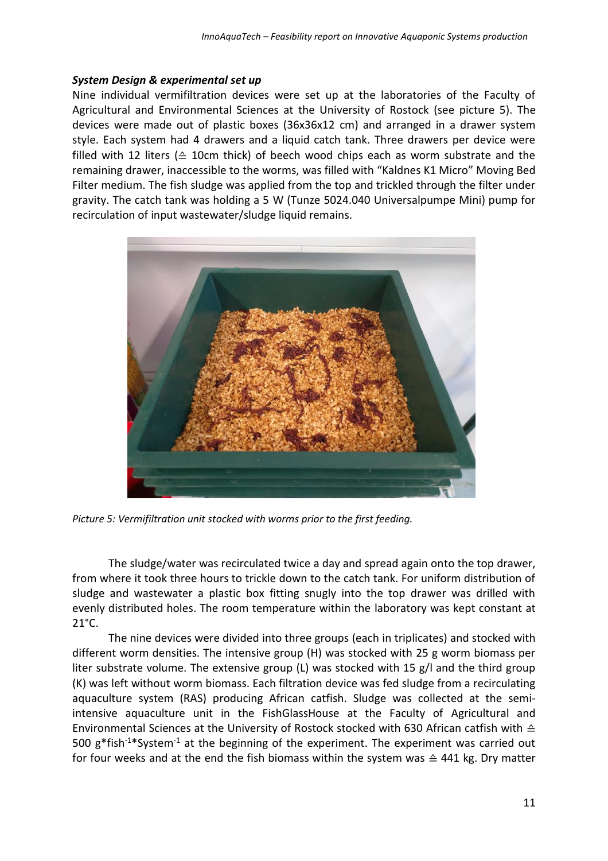# *System Design & experimental set up*

Nine individual vermifiltration devices were set up at the laboratories of the Faculty of Agricultural and Environmental Sciences at the University of Rostock (see picture 5). The devices were made out of plastic boxes (36x36x12 cm) and arranged in a drawer system style. Each system had 4 drawers and a liquid catch tank. Three drawers per device were filled with 12 liters ( $\triangle$  10cm thick) of beech wood chips each as worm substrate and the remaining drawer, inaccessible to the worms, was filled with "Kaldnes K1 Micro" Moving Bed Filter medium. The fish sludge was applied from the top and trickled through the filter under gravity. The catch tank was holding a 5 W (Tunze 5024.040 Universalpumpe Mini) pump for recirculation of input wastewater/sludge liquid remains.



*Picture 5: Vermifiltration unit stocked with worms prior to the first feeding.* 

The sludge/water was recirculated twice a day and spread again onto the top drawer, from where it took three hours to trickle down to the catch tank. For uniform distribution of sludge and wastewater a plastic box fitting snugly into the top drawer was drilled with evenly distributed holes. The room temperature within the laboratory was kept constant at  $21^{\circ}$ C.

The nine devices were divided into three groups (each in triplicates) and stocked with different worm densities. The intensive group (H) was stocked with 25 g worm biomass per liter substrate volume. The extensive group (L) was stocked with 15  $g/l$  and the third group (K) was left without worm biomass. Each filtration device was fed sludge from a recirculating aquaculture system (RAS) producing African catfish. Sludge was collected at the semiintensive aquaculture unit in the FishGlassHouse at the Faculty of Agricultural and Environmental Sciences at the University of Rostock stocked with 630 African catfish with ≙ 500  $g*fish^{-1}*System^{-1}$  at the beginning of the experiment. The experiment was carried out for four weeks and at the end the fish biomass within the system was  $\triangle$  441 kg. Dry matter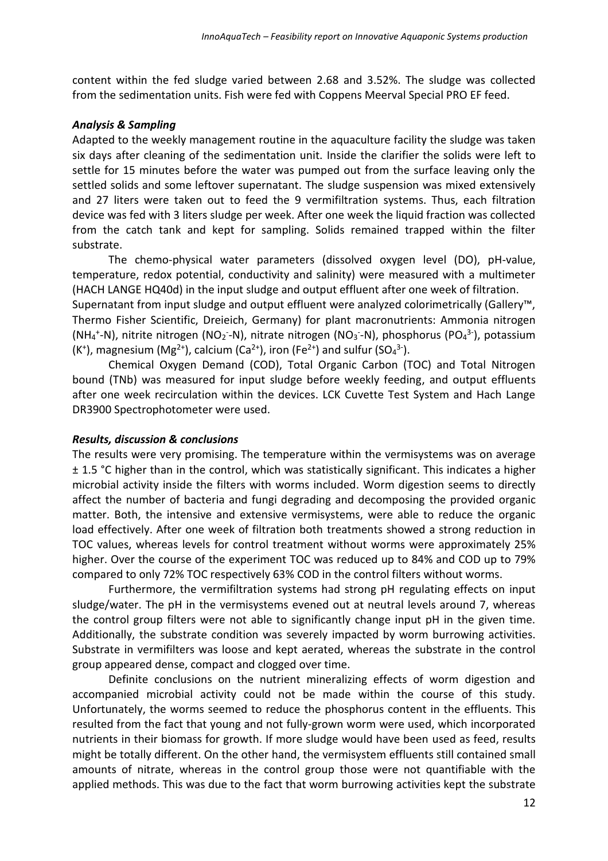content within the fed sludge varied between 2.68 and 3.52%. The sludge was collected from the sedimentation units. Fish were fed with Coppens Meerval Special PRO EF feed.

#### *Analysis & Sampling*

Adapted to the weekly management routine in the aquaculture facility the sludge was taken six days after cleaning of the sedimentation unit. Inside the clarifier the solids were left to settle for 15 minutes before the water was pumped out from the surface leaving only the settled solids and some leftover supernatant. The sludge suspension was mixed extensively and 27 liters were taken out to feed the 9 vermifiltration systems. Thus, each filtration device was fed with 3 liters sludge per week. After one week the liquid fraction was collected from the catch tank and kept for sampling. Solids remained trapped within the filter substrate.

The chemo-physical water parameters (dissolved oxygen level (DO), pH-value, temperature, redox potential, conductivity and salinity) were measured with a multimeter (HACH LANGE HQ40d) in the input sludge and output effluent after one week of filtration.

Supernatant from input sludge and output effluent were analyzed colorimetrically (Gallery™, Thermo Fisher Scientific, Dreieich, Germany) for plant macronutrients: Ammonia nitrogen (NH<sub>4</sub><sup>+</sup>-N), nitrite nitrogen (NO<sub>2</sub><sup>-</sup>-N), nitrate nitrogen (NO<sub>3</sub><sup>-</sup>-N), phosphorus (PO<sub>4</sub><sup>3-</sup>), potassium (K<sup>+</sup>), magnesium (Mg<sup>2+</sup>), calcium (Ca<sup>2+</sup>), iron (Fe<sup>2+</sup>) and sulfur (SO<sub>4</sub><sup>3-</sup>).

Chemical Oxygen Demand (COD), Total Organic Carbon (TOC) and Total Nitrogen bound (TNb) was measured for input sludge before weekly feeding, and output effluents after one week recirculation within the devices. LCK Cuvette Test System and Hach Lange DR3900 Spectrophotometer were used.

#### *Results, discussion & conclusions*

The results were very promising. The temperature within the vermisystems was on average ± 1.5 °C higher than in the control, which was statistically significant. This indicates a higher microbial activity inside the filters with worms included. Worm digestion seems to directly affect the number of bacteria and fungi degrading and decomposing the provided organic matter. Both, the intensive and extensive vermisystems, were able to reduce the organic load effectively. After one week of filtration both treatments showed a strong reduction in TOC values, whereas levels for control treatment without worms were approximately 25% higher. Over the course of the experiment TOC was reduced up to 84% and COD up to 79% compared to only 72% TOC respectively 63% COD in the control filters without worms.

Furthermore, the vermifiltration systems had strong pH regulating effects on input sludge/water. The pH in the vermisystems evened out at neutral levels around 7, whereas the control group filters were not able to significantly change input pH in the given time. Additionally, the substrate condition was severely impacted by worm burrowing activities. Substrate in vermifilters was loose and kept aerated, whereas the substrate in the control group appeared dense, compact and clogged over time.

Definite conclusions on the nutrient mineralizing effects of worm digestion and accompanied microbial activity could not be made within the course of this study. Unfortunately, the worms seemed to reduce the phosphorus content in the effluents. This resulted from the fact that young and not fully-grown worm were used, which incorporated nutrients in their biomass for growth. If more sludge would have been used as feed, results might be totally different. On the other hand, the vermisystem effluents still contained small amounts of nitrate, whereas in the control group those were not quantifiable with the applied methods. This was due to the fact that worm burrowing activities kept the substrate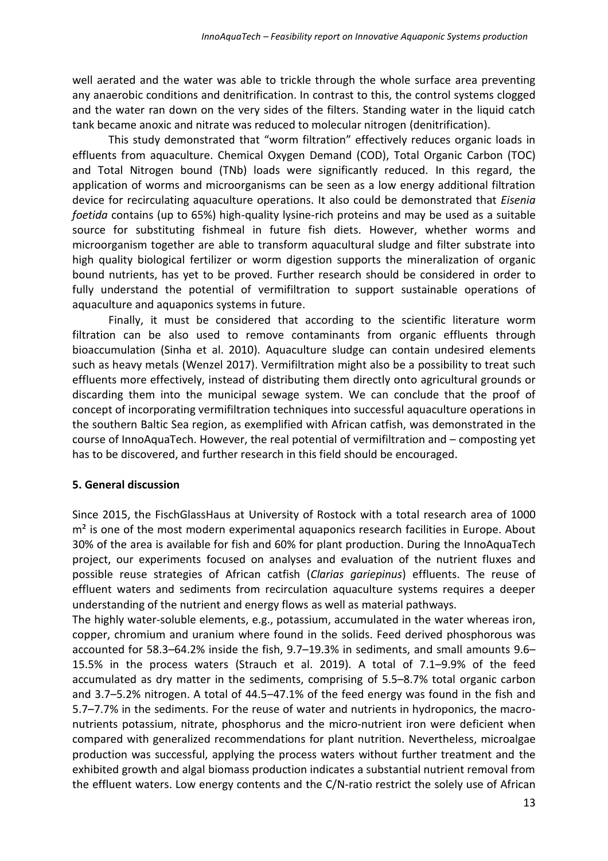well aerated and the water was able to trickle through the whole surface area preventing any anaerobic conditions and denitrification. In contrast to this, the control systems clogged and the water ran down on the very sides of the filters. Standing water in the liquid catch tank became anoxic and nitrate was reduced to molecular nitrogen (denitrification).

This study demonstrated that "worm filtration" effectively reduces organic loads in effluents from aquaculture. Chemical Oxygen Demand (COD), Total Organic Carbon (TOC) and Total Nitrogen bound (TNb) loads were significantly reduced. In this regard, the application of worms and microorganisms can be seen as a low energy additional filtration device for recirculating aquaculture operations. It also could be demonstrated that *Eisenia foetida* contains (up to 65%) high-quality lysine-rich proteins and may be used as a suitable source for substituting fishmeal in future fish diets. However, whether worms and microorganism together are able to transform aquacultural sludge and filter substrate into high quality biological fertilizer or worm digestion supports the mineralization of organic bound nutrients, has yet to be proved. Further research should be considered in order to fully understand the potential of vermifiltration to support sustainable operations of aquaculture and aquaponics systems in future.

Finally, it must be considered that according to the scientific literature worm filtration can be also used to remove contaminants from organic effluents through bioaccumulation (Sinha et al. 2010). Aquaculture sludge can contain undesired elements such as heavy metals (Wenzel 2017). Vermifiltration might also be a possibility to treat such effluents more effectively, instead of distributing them directly onto agricultural grounds or discarding them into the municipal sewage system. We can conclude that the proof of concept of incorporating vermifiltration techniques into successful aquaculture operations in the southern Baltic Sea region, as exemplified with African catfish, was demonstrated in the course of InnoAquaTech. However, the real potential of vermifiltration and – composting yet has to be discovered, and further research in this field should be encouraged.

# **5. General discussion**

Since 2015, the FischGlassHaus at University of Rostock with a total research area of 1000  $m<sup>2</sup>$  is one of the most modern experimental aquaponics research facilities in Europe. About 30% of the area is available for fish and 60% for plant production. During the InnoAquaTech project, our experiments focused on analyses and evaluation of the nutrient fluxes and possible reuse strategies of African catfish (*Clarias gariepinus*) effluents. The reuse of effluent waters and sediments from recirculation aquaculture systems requires a deeper understanding of the nutrient and energy flows as well as material pathways.

The highly water-soluble elements, e.g., potassium, accumulated in the water whereas iron, copper, chromium and uranium where found in the solids. Feed derived phosphorous was accounted for 58.3–64.2% inside the fish, 9.7–19.3% in sediments, and small amounts 9.6– 15.5% in the process waters (Strauch et al. 2019). A total of 7.1–9.9% of the feed accumulated as dry matter in the sediments, comprising of 5.5–8.7% total organic carbon and 3.7–5.2% nitrogen. A total of 44.5–47.1% of the feed energy was found in the fish and 5.7–7.7% in the sediments. For the reuse of water and nutrients in hydroponics, the macronutrients potassium, nitrate, phosphorus and the micro-nutrient iron were deficient when compared with generalized recommendations for plant nutrition. Nevertheless, microalgae production was successful, applying the process waters without further treatment and the exhibited growth and algal biomass production indicates a substantial nutrient removal from the effluent waters. Low energy contents and the C/N-ratio restrict the solely use of African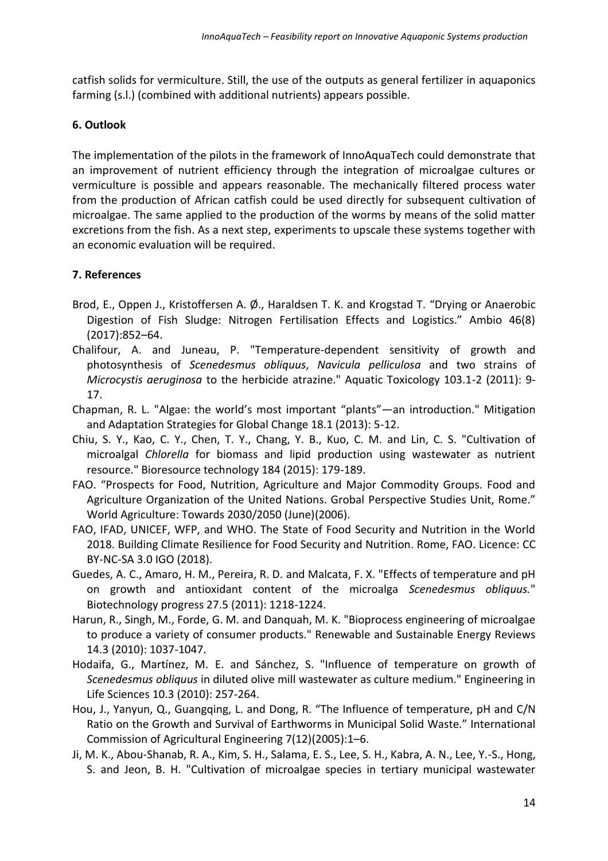catfish solids for vermiculture. Still, the use of the outputs as general fertilizer in aquaponics farming (s.l.) (combined with additional nutrients) appears possible.

# **6. Outlook**

The implementation of the pilots in the framework of InnoAquaTech could demonstrate that an improvement of nutrient efficiency through the integration of microalgae cultures or vermiculture is possible and appears reasonable. The mechanically filtered process water from the production of African catfish could be used directly for subsequent cultivation of microalgae. The same applied to the production of the worms by means of the solid matter excretions from the fish. As a next step, experiments to upscale these systems together with an economic evaluation will be required.

# **7. References**

- Brod, E., Oppen J., Kristoffersen A. Ø., Haraldsen T. K. and Krogstad T. "Drying or Anaerobic Digestion of Fish Sludge: Nitrogen Fertilisation Effects and Logistics." Ambio 46(8) (2017):852–64.
- Chalifour, A. and Juneau, P. "Temperature-dependent sensitivity of growth and photosynthesis of *Scenedesmus obliquus*, *Navicula pelliculosa* and two strains of *Microcystis aeruginosa* to the herbicide atrazine." Aquatic Toxicology 103.1-2 (2011): 9- 17.
- Chapman, R. L. "Algae: the world's most important "plants"—an introduction." Mitigation and Adaptation Strategies for Global Change 18.1 (2013): 5-12.
- Chiu, S. Y., Kao, C. Y., Chen, T. Y., Chang, Y. B., Kuo, C. M. and Lin, C. S. "Cultivation of microalgal *Chlorella* for biomass and lipid production using wastewater as nutrient resource." Bioresource technology 184 (2015): 179-189.
- FAO. "Prospects for Food, Nutrition, Agriculture and Major Commodity Groups. Food and Agriculture Organization of the United Nations. Grobal Perspective Studies Unit, Rome." World Agriculture: Towards 2030/2050 (June)(2006).
- FAO, IFAD, UNICEF, WFP, and WHO. The State of Food Security and Nutrition in the World 2018. Building Climate Resilience for Food Security and Nutrition. Rome, FAO. Licence: CC BY-NC-SA 3.0 IGO (2018).
- Guedes, A. C., Amaro, H. M., Pereira, R. D. and Malcata, F. X. "Effects of temperature and pH on growth and antioxidant content of the microalga *Scenedesmus obliquus.*" Biotechnology progress 27.5 (2011): 1218-1224.
- Harun, R., Singh, M., Forde, G. M. and Danquah, M. K. "Bioprocess engineering of microalgae to produce a variety of consumer products." Renewable and Sustainable Energy Reviews 14.3 (2010): 1037-1047.
- Hodaifa, G., Martínez, M. E. and Sánchez, S. "Influence of temperature on growth of *Scenedesmus obliquus* in diluted olive mill wastewater as culture medium." Engineering in Life Sciences 10.3 (2010): 257-264.
- Hou, J., Yanyun, Q., Guangqing, L. and Dong, R. "The Influence of temperature, pH and C/N Ratio on the Growth and Survival of Earthworms in Municipal Solid Waste." International Commission of Agricultural Engineering 7(12)(2005):1–6.
- Ji, M. K., Abou-Shanab, R. A., Kim, S. H., Salama, E. S., Lee, S. H., Kabra, A. N., Lee, Y.-S., Hong, S. and Jeon, B. H. "Cultivation of microalgae species in tertiary municipal wastewater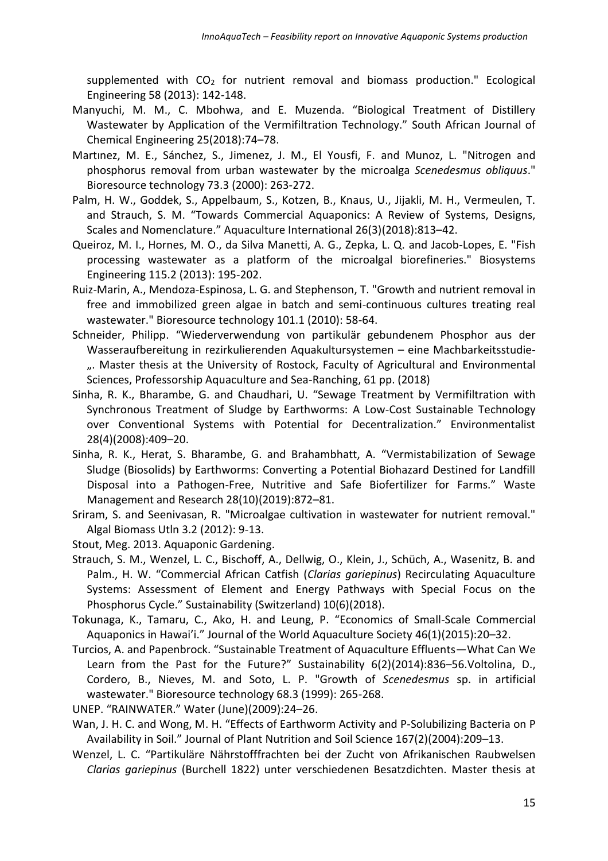supplemented with  $CO<sub>2</sub>$  for nutrient removal and biomass production." Ecological Engineering 58 (2013): 142-148.

- Manyuchi, M. M., C. Mbohwa, and E. Muzenda. "Biological Treatment of Distillery Wastewater by Application of the Vermifiltration Technology." South African Journal of Chemical Engineering 25(2018):74–78.
- Martınez, M. E., Sánchez, S., Jimenez, J. M., El Yousfi, F. and Munoz, L. "Nitrogen and phosphorus removal from urban wastewater by the microalga *Scenedesmus obliquus*." Bioresource technology 73.3 (2000): 263-272.
- Palm, H. W., Goddek, S., Appelbaum, S., Kotzen, B., Knaus, U., Jijakli, M. H., Vermeulen, T. and Strauch, S. M. "Towards Commercial Aquaponics: A Review of Systems, Designs, Scales and Nomenclature." Aquaculture International 26(3)(2018):813–42.
- Queiroz, M. I., Hornes, M. O., da Silva Manetti, A. G., Zepka, L. Q. and Jacob-Lopes, E. "Fish processing wastewater as a platform of the microalgal biorefineries." Biosystems Engineering 115.2 (2013): 195-202.
- Ruiz-Marin, A., Mendoza-Espinosa, L. G. and Stephenson, T. "Growth and nutrient removal in free and immobilized green algae in batch and semi-continuous cultures treating real wastewater." Bioresource technology 101.1 (2010): 58-64.
- Schneider, Philipp. "Wiederverwendung von partikulär gebundenem Phosphor aus der Wasseraufbereitung in rezirkulierenden Aquakultursystemen – eine Machbarkeitsstudie- ... Master thesis at the University of Rostock, Faculty of Agricultural and Environmental Sciences, Professorship Aquaculture and Sea-Ranching, 61 pp. (2018)
- Sinha, R. K., Bharambe, G. and Chaudhari, U. "Sewage Treatment by Vermifiltration with Synchronous Treatment of Sludge by Earthworms: A Low-Cost Sustainable Technology over Conventional Systems with Potential for Decentralization." Environmentalist 28(4)(2008):409–20.
- Sinha, R. K., Herat, S. Bharambe, G. and Brahambhatt, A. "Vermistabilization of Sewage Sludge (Biosolids) by Earthworms: Converting a Potential Biohazard Destined for Landfill Disposal into a Pathogen-Free, Nutritive and Safe Biofertilizer for Farms." Waste Management and Research 28(10)(2019):872–81.
- Sriram, S. and Seenivasan, R. "Microalgae cultivation in wastewater for nutrient removal." Algal Biomass Utln 3.2 (2012): 9-13.
- Stout, Meg. 2013. Aquaponic Gardening.
- Strauch, S. M., Wenzel, L. C., Bischoff, A., Dellwig, O., Klein, J., Schüch, A., Wasenitz, B. and Palm., H. W. "Commercial African Catfish (*Clarias gariepinus*) Recirculating Aquaculture Systems: Assessment of Element and Energy Pathways with Special Focus on the Phosphorus Cycle." Sustainability (Switzerland) 10(6)(2018).
- Tokunaga, K., Tamaru, C., Ako, H. and Leung, P. "Economics of Small-Scale Commercial Aquaponics in Hawai'i." Journal of the World Aquaculture Society 46(1)(2015):20–32.
- Turcios, A. and Papenbrock. "Sustainable Treatment of Aquaculture Effluents—What Can We Learn from the Past for the Future?" Sustainability 6(2)(2014):836–56.Voltolina, D., Cordero, B., Nieves, M. and Soto, L. P. "Growth of *Scenedesmus* sp. in artificial wastewater." Bioresource technology 68.3 (1999): 265-268.
- UNEP. "RAINWATER." Water (June)(2009):24–26.
- Wan, J. H. C. and Wong, M. H. "Effects of Earthworm Activity and P-Solubilizing Bacteria on P Availability in Soil." Journal of Plant Nutrition and Soil Science 167(2)(2004):209–13.
- Wenzel, L. C. "Partikuläre Nährstofffrachten bei der Zucht von Afrikanischen Raubwelsen *Clarias gariepinus* (Burchell 1822) unter verschiedenen Besatzdichten. Master thesis at